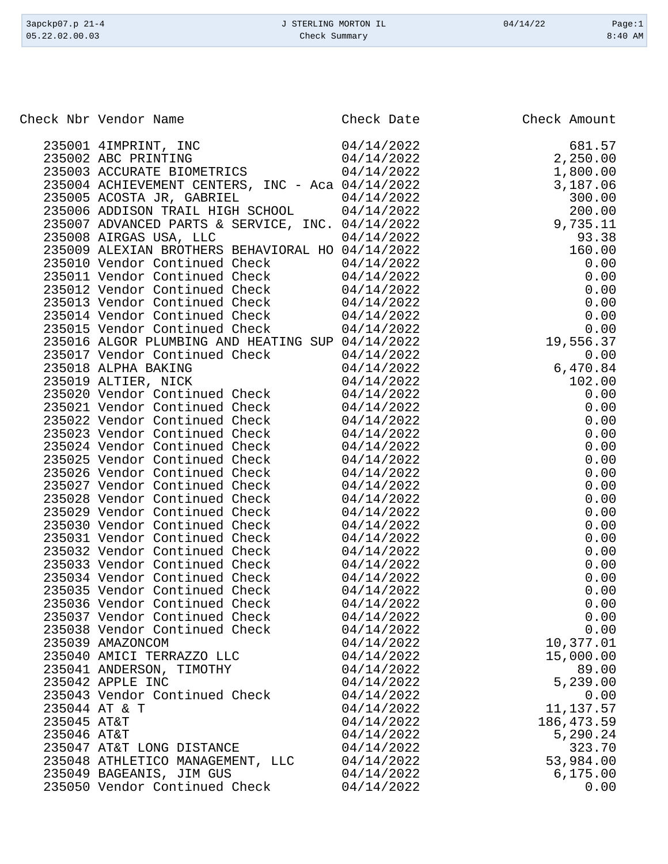| 3apckp07.p 21-4 | J STERLING MORTON IL | 04/14/22 | Page:1    |
|-----------------|----------------------|----------|-----------|
| 05.22.02.00.03  | Check Summary        |          | $8:40$ AM |
|                 |                      |          |           |

|             | Check Nbr Vendor Name                                                    | Check Date               | Check Amount       |
|-------------|--------------------------------------------------------------------------|--------------------------|--------------------|
|             | 235001 4IMPRINT, INC<br>235002 ABC PRINTING                              | 04/14/2022<br>04/14/2022 | 681.57<br>2,250.00 |
|             | 235003 ACCURATE BIOMETRICS                                               | 04/14/2022               | 1,800.00           |
|             | 235004 ACHIEVEMENT CENTERS, INC - Aca 04/14/2022                         |                          | 3,187.06           |
|             | 235005 ACOSTA JR, GABRIEL<br>235006 ADDISON TRAIL HIGH SCHOOL 04/14/2022 | 04/14/2022               | 300.00             |
|             | 235007 ADVANCED PARTS & SERVICE, INC. 04/14/2022                         |                          | 200.00<br>9,735.11 |
|             | 235008 AIRGAS USA, LLC                                                   | 04/14/2022               | 93.38              |
|             | 235009 ALEXIAN BROTHERS BEHAVIORAL HO 04/14/2022                         |                          | 160.00             |
|             | 235010 Vendor Continued Check                                            | 04/14/2022               | 0.00               |
|             | 235011 Vendor Continued Check                                            | 04/14/2022               | 0.00               |
|             | 235012 Vendor Continued Check                                            | 04/14/2022               | 0.00               |
|             | 235013 Vendor Continued Check                                            | 04/14/2022               | 0.00               |
|             | 235014 Vendor Continued Check                                            | 04/14/2022               | 0.00               |
|             | 235015 Vendor Continued Check                                            | 04/14/2022               | 0.00               |
|             | 235016 ALGOR PLUMBING AND HEATING SUP 04/14/2022                         |                          | 19,556.37          |
|             | 235017 Vendor Continued Check                                            | 04/14/2022               | 0.00               |
|             | 235018 ALPHA BAKING                                                      | 04/14/2022               | 6,470.84           |
|             | 235019 ALTIER, NICK                                                      | 04/14/2022               | 102.00             |
|             | 235020 Vendor Continued Check                                            | 04/14/2022               | 0.00               |
|             | 235021 Vendor Continued Check                                            | 04/14/2022               | 0.00               |
|             | 235022 Vendor Continued Check                                            | 04/14/2022               | 0.00               |
|             | 235023 Vendor Continued Check                                            | 04/14/2022               | 0.00               |
|             | 235024 Vendor Continued Check                                            | 04/14/2022               | 0.00               |
|             | 235025 Vendor Continued Check                                            | 04/14/2022               | 0.00               |
|             | 235026 Vendor Continued Check                                            | 04/14/2022               | 0.00               |
|             | 235027 Vendor Continued Check<br>235028 Vendor Continued Check           | 04/14/2022<br>04/14/2022 | 0.00<br>0.00       |
|             | 235029 Vendor Continued Check                                            | 04/14/2022               | 0.00               |
|             | 235030 Vendor Continued Check                                            | 04/14/2022               | 0.00               |
|             | 235031 Vendor Continued Check                                            | 04/14/2022               | 0.00               |
|             | 235032 Vendor Continued Check                                            | 04/14/2022               | 0.00               |
|             | 235033 Vendor Continued Check                                            | 04/14/2022               | 0.00               |
|             | 235034 Vendor Continued Check                                            | 04/14/2022               | 0.00               |
|             | 235035 Vendor Continued Check                                            | 04/14/2022               | 0.00               |
|             | 235036 Vendor Continued Check                                            | 04/14/2022               | 0.00               |
|             | 235037 Vendor Continued Check                                            | 04/14/2022               | 0.00               |
|             | 235038 Vendor Continued Check                                            | 04/14/2022               | 0.00               |
|             | 235039 AMAZONCOM                                                         | 04/14/2022               | 10,377.01          |
|             | 235040 AMICI TERRAZZO LLC                                                | 04/14/2022               | 15,000.00          |
|             | 235041 ANDERSON, TIMOTHY                                                 | 04/14/2022               | 89.00              |
|             | 235042 APPLE INC                                                         | 04/14/2022               | 5,239.00           |
|             | 235043 Vendor Continued Check                                            | 04/14/2022               | 0.00               |
|             | 235044 AT & T                                                            | 04/14/2022               | 11, 137.57         |
| 235045 AT&T |                                                                          | 04/14/2022               | 186,473.59         |
| 235046 AT&T |                                                                          | 04/14/2022               | 5,290.24<br>323.70 |
|             | 235047 AT&T LONG DISTANCE<br>235048 ATHLETICO MANAGEMENT, LLC            | 04/14/2022<br>04/14/2022 | 53,984.00          |
|             | 235049 BAGEANIS, JIM GUS                                                 | 04/14/2022               | 6,175.00           |
|             | 235050 Vendor Continued Check                                            | 04/14/2022               | 0.00               |
|             |                                                                          |                          |                    |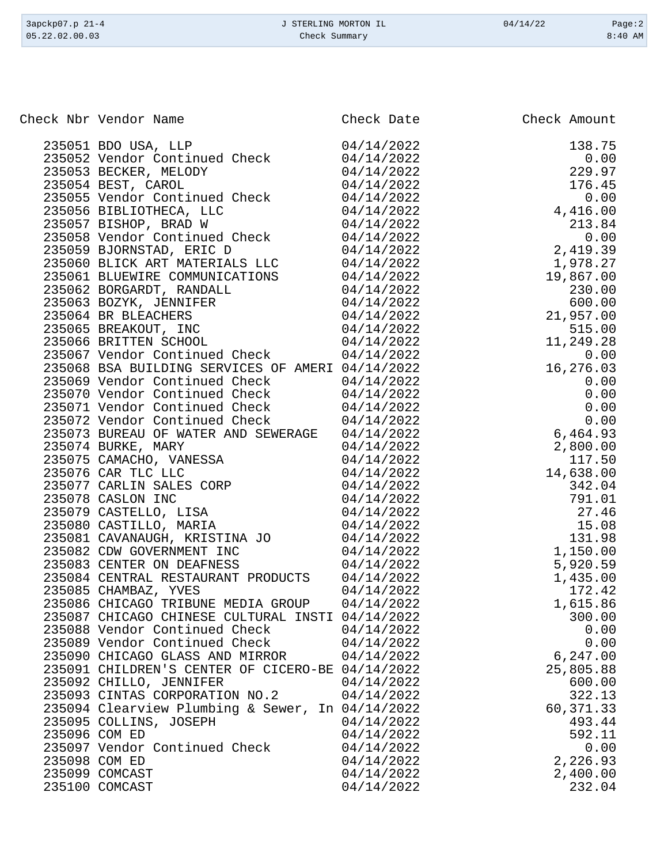| 05.22.02.00.03<br>Check Summary |           |
|---------------------------------|-----------|
|                                 | $8:40$ AM |

| Check Nbr Vendor Name                                                                                                                                                                                                                             | Check Date | Check Amount                                                                                                                              |
|---------------------------------------------------------------------------------------------------------------------------------------------------------------------------------------------------------------------------------------------------|------------|-------------------------------------------------------------------------------------------------------------------------------------------|
| 235051 BDO USA, LLP<br>235052 Vendor Continued Check                                                                                                                                                                                              | 04/14/2022 | $138.75$ $0.00$ $229.97$ $176.45$ $0.00$ $4,416.00$                                                                                       |
|                                                                                                                                                                                                                                                   | 04/14/2022 |                                                                                                                                           |
| 235053 BECKER, MELODY 04/14/2022<br>235054 BEST, CAROL 04/14/2022<br>235055 Vendor Continued Check 04/14/2022                                                                                                                                     |            |                                                                                                                                           |
|                                                                                                                                                                                                                                                   |            |                                                                                                                                           |
|                                                                                                                                                                                                                                                   |            |                                                                                                                                           |
|                                                                                                                                                                                                                                                   |            |                                                                                                                                           |
|                                                                                                                                                                                                                                                   |            | 213.84                                                                                                                                    |
| 235056 BIBLIOTHECA, LLC<br>235057 BISHOP, BRAD W 04/14/2022<br>235058 Vendor Continued Check 04/14/2022                                                                                                                                           |            |                                                                                                                                           |
| 235059 BJORNSTAD, ERIC D<br>235060 BLICK ART MATERIALS LLC 04/14/2022                                                                                                                                                                             |            | $213.84$<br>0.00<br>2,419.39                                                                                                              |
|                                                                                                                                                                                                                                                   |            | 1,978.27                                                                                                                                  |
| 235061 BLUEWIRE COMMUNICATIONS 04/14/2022                                                                                                                                                                                                         |            | 19,867.00                                                                                                                                 |
| 235062 BORGARDT, RANDALL 04/14/2022<br>235063 BOZYK, JENNIFER 04/14/2022<br>235064 BR BLEACHERS 04/14/2022<br>235065 BREAKOUT, INC 04/14/2022<br>235066 BRITTEN SCHOOL 04/14/2022<br>235066 BRITTEN SCHOOL 04/14/2022                             |            | 230.00                                                                                                                                    |
|                                                                                                                                                                                                                                                   |            | 600.00                                                                                                                                    |
|                                                                                                                                                                                                                                                   |            | 21,957.00                                                                                                                                 |
|                                                                                                                                                                                                                                                   |            | 515.00                                                                                                                                    |
|                                                                                                                                                                                                                                                   |            | 11,249.28                                                                                                                                 |
| 235067 Vendor Continued Check                                                                                                                                                                                                                     | 04/14/2022 | 0.00                                                                                                                                      |
| 235068 BSA BUILDING SERVICES OF AMERI 04/14/2022                                                                                                                                                                                                  |            | $0.00$<br>16,276.03                                                                                                                       |
| 235069 Vendor Continued Check 04/14/2022                                                                                                                                                                                                          |            |                                                                                                                                           |
| 235070 Vendor Continued Check 04/14/2022                                                                                                                                                                                                          |            |                                                                                                                                           |
| 235071 Vendor Continued Check 04/14/2022                                                                                                                                                                                                          |            |                                                                                                                                           |
| 235072 Vendor Continued Check 04/14/2022                                                                                                                                                                                                          |            | $10,210.03$<br>0.00<br>0.00<br>0.00<br>0.00<br>6,464.93                                                                                   |
| 235073 BUREAU OF WATER AND SEWERAGE 04/14/2022                                                                                                                                                                                                    |            |                                                                                                                                           |
|                                                                                                                                                                                                                                                   | 04/14/2022 | 2,800.00                                                                                                                                  |
|                                                                                                                                                                                                                                                   |            |                                                                                                                                           |
| 235074 BURKE, MARY<br>235075 CAMACHO, VANESSA<br>235076 CAR TLC LLC                                                                                                                                                                               |            |                                                                                                                                           |
| 235075 CAMACHO, VANESSA<br>235075 CAMACHO, VANESSA<br>235077 CARLIN SALES CORP<br>235077 CARLIN SALES CORP<br>235078 CASLON INC<br>235079 CASTELLO, LISA<br>235080 CASTELLO, MARIA<br>235080 CASTILLO, MARIA<br>235081 CAVANAUGH, KRISTINA JO<br> |            | 2,800.00<br>117.50<br>14,638.00<br>342.04<br>791.01<br>27.46<br>15.08<br>131.98<br>1,150.00<br>5,920.59<br>1,435.00<br>172.42<br>1,615.86 |
|                                                                                                                                                                                                                                                   |            |                                                                                                                                           |
|                                                                                                                                                                                                                                                   |            | $27.46$<br>$15.08$<br>$131.98$                                                                                                            |
|                                                                                                                                                                                                                                                   |            |                                                                                                                                           |
|                                                                                                                                                                                                                                                   |            |                                                                                                                                           |
|                                                                                                                                                                                                                                                   |            |                                                                                                                                           |
|                                                                                                                                                                                                                                                   |            |                                                                                                                                           |
| 235084 CENTRAL RESTAURANT PRODUCTS 04/14/2022                                                                                                                                                                                                     |            |                                                                                                                                           |
| 235085 CHAMBAZ, YVES                                                                                                                                                                                                                              | 04/14/2022 |                                                                                                                                           |
| 235086 CHICAGO TRIBUNE MEDIA GROUP 04/14/2022                                                                                                                                                                                                     |            | 1,615.86                                                                                                                                  |
| 235087 CHICAGO CHINESE CULTURAL INSTI 04/14/2022                                                                                                                                                                                                  |            | 300.00                                                                                                                                    |
| 235088 Vendor Continued Check                                                                                                                                                                                                                     | 04/14/2022 | 0.00                                                                                                                                      |
| 235089 Vendor Continued Check                                                                                                                                                                                                                     | 04/14/2022 | 0.00                                                                                                                                      |
| 235090 CHICAGO GLASS AND MIRROR                                                                                                                                                                                                                   | 04/14/2022 | 6,247.00                                                                                                                                  |
| 235091 CHILDREN'S CENTER OF CICERO-BE 04/14/2022                                                                                                                                                                                                  |            | 25,805.88                                                                                                                                 |
| 235092 CHILLO, JENNIFER                                                                                                                                                                                                                           | 04/14/2022 | 600.00                                                                                                                                    |
| 235093 CINTAS CORPORATION NO.2                                                                                                                                                                                                                    | 04/14/2022 | 322.13                                                                                                                                    |
| 235094 Clearview Plumbing & Sewer, In 04/14/2022                                                                                                                                                                                                  |            | 60, 371.33                                                                                                                                |
| 235095 COLLINS, JOSEPH                                                                                                                                                                                                                            | 04/14/2022 | 493.44                                                                                                                                    |
| 235096 COM ED                                                                                                                                                                                                                                     | 04/14/2022 | 592.11                                                                                                                                    |
| 235097 Vendor Continued Check                                                                                                                                                                                                                     | 04/14/2022 | 0.00                                                                                                                                      |
| 235098 COM ED                                                                                                                                                                                                                                     | 04/14/2022 | 2,226.93                                                                                                                                  |
| 235099 COMCAST                                                                                                                                                                                                                                    | 04/14/2022 | 2,400.00                                                                                                                                  |
| 235100 COMCAST                                                                                                                                                                                                                                    | 04/14/2022 | 232.04                                                                                                                                    |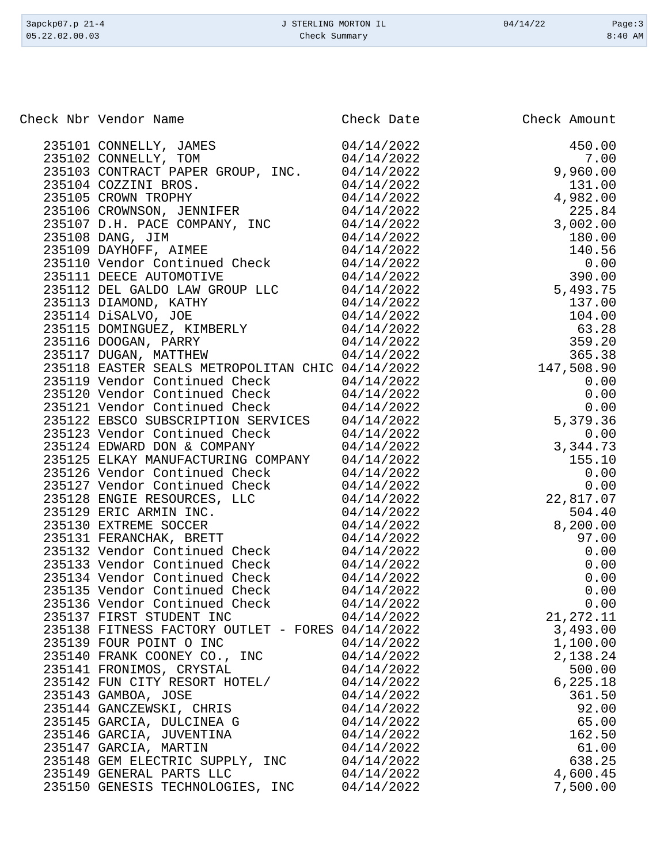| 3apckp07.p 21-4 | J STERLING MORTON IL | 04/14/22 | Page:3    |
|-----------------|----------------------|----------|-----------|
| 05.22.02.00.03  | Check Summary        |          | $8:40$ AM |

| Check Nbr Vendor Name                                                                                                                                                                                                                   | Check Date | Check Amount                                                                                                                                                                                                                                                                              |
|-----------------------------------------------------------------------------------------------------------------------------------------------------------------------------------------------------------------------------------------|------------|-------------------------------------------------------------------------------------------------------------------------------------------------------------------------------------------------------------------------------------------------------------------------------------------|
| 235101 CONNELLY, JAMES<br>235102 CONNELLY, TOM                                                                                                                                                                                          | 04/14/2022 | Check Amount<br>450.00<br>7.00<br>9,960.00<br>131.00<br>4,982.00<br>225.84<br>3,002.00<br>180.00<br>140.56<br>0.00<br>5,493.75<br>137.00<br>104.00<br>63.28<br>359.20<br>365.38<br>359.20<br>365.38<br>365.38<br>0.00<br>0.00<br>0.00<br>0.00<br>0.00<br>0.00<br>0.00<br>0.00<br>0.00<br> |
|                                                                                                                                                                                                                                         | 04/14/2022 |                                                                                                                                                                                                                                                                                           |
| 235102 CONTRACT PAPER GROUP, INC. 04/14/2022                                                                                                                                                                                            |            |                                                                                                                                                                                                                                                                                           |
|                                                                                                                                                                                                                                         |            |                                                                                                                                                                                                                                                                                           |
|                                                                                                                                                                                                                                         |            |                                                                                                                                                                                                                                                                                           |
|                                                                                                                                                                                                                                         |            |                                                                                                                                                                                                                                                                                           |
|                                                                                                                                                                                                                                         |            |                                                                                                                                                                                                                                                                                           |
|                                                                                                                                                                                                                                         |            |                                                                                                                                                                                                                                                                                           |
|                                                                                                                                                                                                                                         |            |                                                                                                                                                                                                                                                                                           |
|                                                                                                                                                                                                                                         |            |                                                                                                                                                                                                                                                                                           |
|                                                                                                                                                                                                                                         |            |                                                                                                                                                                                                                                                                                           |
|                                                                                                                                                                                                                                         |            |                                                                                                                                                                                                                                                                                           |
|                                                                                                                                                                                                                                         |            |                                                                                                                                                                                                                                                                                           |
|                                                                                                                                                                                                                                         |            |                                                                                                                                                                                                                                                                                           |
|                                                                                                                                                                                                                                         |            |                                                                                                                                                                                                                                                                                           |
|                                                                                                                                                                                                                                         |            |                                                                                                                                                                                                                                                                                           |
|                                                                                                                                                                                                                                         |            |                                                                                                                                                                                                                                                                                           |
| 235118 EASTER SEALS METROPOLITAN CHIC 04/14/2022                                                                                                                                                                                        |            |                                                                                                                                                                                                                                                                                           |
|                                                                                                                                                                                                                                         |            |                                                                                                                                                                                                                                                                                           |
|                                                                                                                                                                                                                                         |            |                                                                                                                                                                                                                                                                                           |
| 235119 Vendor Continued Check $04/14/2022$<br>235120 Vendor Continued Check $04/14/2022$<br>235121 Vendor Continued Check $04/14/2022$                                                                                                  |            |                                                                                                                                                                                                                                                                                           |
| 235122 EBSCO SUBSCRIPTION SERVICES 04/14/2022<br>235123 Vendor Continued Check 04/14/2022<br>235124 EDWARD DON & COMPANY 04/14/2022                                                                                                     |            |                                                                                                                                                                                                                                                                                           |
|                                                                                                                                                                                                                                         |            |                                                                                                                                                                                                                                                                                           |
|                                                                                                                                                                                                                                         |            |                                                                                                                                                                                                                                                                                           |
| 235124 EDWARD DON & COMPANY $04/14/2022$<br>235125 ELKAY MANUFACTURING COMPANY $04/14/2022$<br>235126 Vendor Continued Check $04/14/2022$<br>235127 Vendor Continued Check $04/14/2022$<br>235128 ENGIE RESOURCES, LLC $04/14/2022$<br> |            |                                                                                                                                                                                                                                                                                           |
|                                                                                                                                                                                                                                         |            |                                                                                                                                                                                                                                                                                           |
|                                                                                                                                                                                                                                         |            |                                                                                                                                                                                                                                                                                           |
|                                                                                                                                                                                                                                         |            |                                                                                                                                                                                                                                                                                           |
|                                                                                                                                                                                                                                         |            | 504.40                                                                                                                                                                                                                                                                                    |
|                                                                                                                                                                                                                                         |            | 8,200.00<br>97.00<br>0 0 0                                                                                                                                                                                                                                                                |
|                                                                                                                                                                                                                                         |            |                                                                                                                                                                                                                                                                                           |
|                                                                                                                                                                                                                                         |            | 0.00                                                                                                                                                                                                                                                                                      |
|                                                                                                                                                                                                                                         |            | 0.00                                                                                                                                                                                                                                                                                      |
|                                                                                                                                                                                                                                         |            | 0.00                                                                                                                                                                                                                                                                                      |
|                                                                                                                                                                                                                                         |            | 0.00                                                                                                                                                                                                                                                                                      |
|                                                                                                                                                                                                                                         |            | 0.00                                                                                                                                                                                                                                                                                      |
| 235137 FIRST STUDENT INC                                                                                                                                                                                                                | 04/14/2022 | 21, 272.11                                                                                                                                                                                                                                                                                |
| 235138 FITNESS FACTORY OUTLET - FORES 04/14/2022                                                                                                                                                                                        |            | 3,493.00                                                                                                                                                                                                                                                                                  |
| 235139 FOUR POINT O INC                                                                                                                                                                                                                 | 04/14/2022 | 1,100.00                                                                                                                                                                                                                                                                                  |
| 235140 FRANK COONEY CO., INC                                                                                                                                                                                                            | 04/14/2022 | 2,138.24                                                                                                                                                                                                                                                                                  |
| 235141 FRONIMOS, CRYSTAL                                                                                                                                                                                                                | 04/14/2022 | 500.00                                                                                                                                                                                                                                                                                    |
| 235142 FUN CITY RESORT HOTEL/                                                                                                                                                                                                           | 04/14/2022 | 6, 225.18                                                                                                                                                                                                                                                                                 |
| 235143 GAMBOA, JOSE                                                                                                                                                                                                                     | 04/14/2022 | 361.50                                                                                                                                                                                                                                                                                    |
| 235144 GANCZEWSKI, CHRIS                                                                                                                                                                                                                | 04/14/2022 | 92.00                                                                                                                                                                                                                                                                                     |
| 235145 GARCIA, DULCINEA G                                                                                                                                                                                                               | 04/14/2022 | 65.00                                                                                                                                                                                                                                                                                     |
| 235146 GARCIA, JUVENTINA                                                                                                                                                                                                                | 04/14/2022 | 162.50                                                                                                                                                                                                                                                                                    |
| 235147 GARCIA, MARTIN                                                                                                                                                                                                                   | 04/14/2022 | 61.00                                                                                                                                                                                                                                                                                     |
| 235148 GEM ELECTRIC SUPPLY, INC                                                                                                                                                                                                         | 04/14/2022 | 638.25                                                                                                                                                                                                                                                                                    |
| 235149 GENERAL PARTS LLC                                                                                                                                                                                                                | 04/14/2022 | 4,600.45                                                                                                                                                                                                                                                                                  |
| 235150 GENESIS TECHNOLOGIES, INC                                                                                                                                                                                                        | 04/14/2022 | 7,500.00                                                                                                                                                                                                                                                                                  |
|                                                                                                                                                                                                                                         |            |                                                                                                                                                                                                                                                                                           |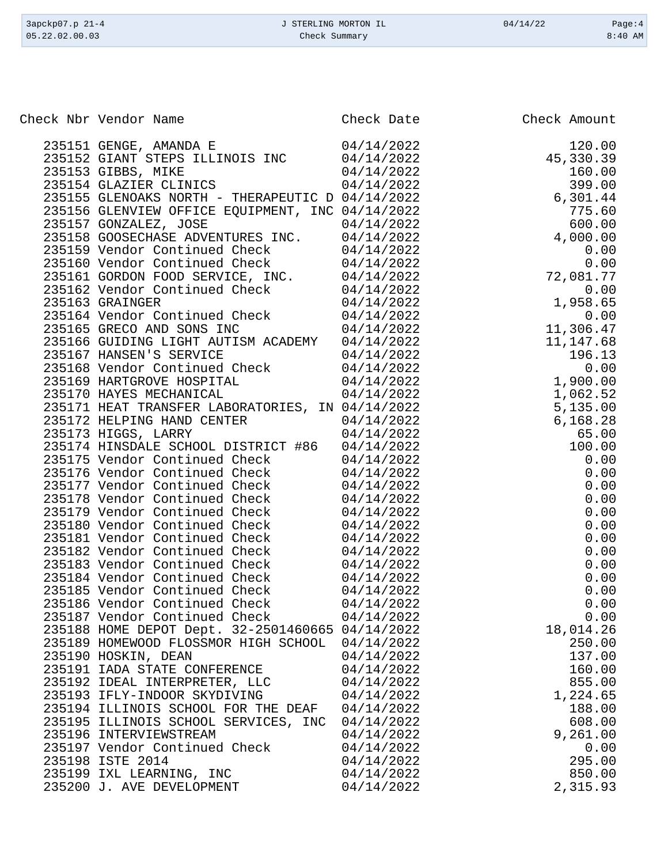| 3apckp07.p 21-4 | J STERLING MORTON IL | 04/14/22 | Page:4    |
|-----------------|----------------------|----------|-----------|
| 05.22.02.00.03  | Check Summary        |          | $8:40$ AM |
|                 |                      |          |           |

| Check Nbr Vendor Name                                                                                                                                                           | Check Date               | Check Amount        |
|---------------------------------------------------------------------------------------------------------------------------------------------------------------------------------|--------------------------|---------------------|
| 235151 GENGE, AMANDA E                                                                                                                                                          | 04/14/2022               | 120.00              |
| 235152 GIANT STEPS ILLINOIS INC                                                                                                                                                 | 04/14/2022               | 45,330.39           |
|                                                                                                                                                                                 | 04/14/2022               | 160.00              |
| 235153 GIBBS, MIKE<br>235154 GLAZIER CLINICS                                                                                                                                    | 04/14/2022               | 399.00              |
| 235155 GLENOAKS NORTH - THERAPEUTIC D 04/14/2022                                                                                                                                |                          | 6,301.44            |
| 235156 GLENVIEW OFFICE EQUIPMENT, INC 04/14/2022                                                                                                                                |                          | 775.60              |
|                                                                                                                                                                                 |                          | 600.00              |
| 235157 GONZALEZ, JOSE 04/14/2022<br>235158 GOOSECHASE ADVENTURES INC. 04/14/2022                                                                                                |                          | 4,000.00            |
| 235159 Vendor Continued Check 04/14/2022<br>235160 Vendor Continued Check 04/14/2022<br>235161 GORDON FOOD SERVICE, INC. 04/14/2022<br>235162 Vendor Continued Check 04/14/2022 |                          | 0.00                |
|                                                                                                                                                                                 |                          |                     |
|                                                                                                                                                                                 |                          | $72,081.77$<br>0.00 |
|                                                                                                                                                                                 |                          |                     |
| 235163 GRAINGER                                                                                                                                                                 | 04/14/2022               | 1,958.65            |
| 235163 Shinkson<br>235164 Vendor Continued Check (24/14/2022)<br>235165 GRECO AND SONS INC (24/14/2022)                                                                         |                          | 0.00                |
|                                                                                                                                                                                 |                          | 11,306.47           |
| 235166 GUIDING LIGHT AUTISM ACADEMY 04/14/2022                                                                                                                                  |                          | 11,147.68           |
|                                                                                                                                                                                 |                          | 196.13              |
| 235167 HANSEN'S SERVICE<br>235168 Vendor Continued Check 04/14/2022<br>235169 HARTCROWE HOCDIERI                                                                                |                          | 0.00                |
| 235169 HARTGROVE HOSPITAL 04/14/2022                                                                                                                                            |                          | 0.00<br>1,900.00    |
| 235170 HAYES MECHANICAL                                                                                                                                                         | 04/14/2022               | 1,062.52            |
| 235171 HEAT TRANSFER LABORATORIES, IN 04/14/2022                                                                                                                                |                          | 5,135.00            |
|                                                                                                                                                                                 | 04/14/2022               | 6, 168.28           |
| 235172 HELPING HAND CENTER<br>225172 HIGGS LARRY<br>235173 HIGGS, LARRY                                                                                                         | 04/14/2022               | 65.00               |
| 235174 HINSDALE SCHOOL DISTRICT #86 04/14/2022                                                                                                                                  |                          | 100.00              |
| 235175 Vendor Continued Check 04/14/2022                                                                                                                                        |                          | 0.00                |
| 235176 Vendor Continued Check 04/14/2022                                                                                                                                        |                          | 0.00                |
| 235177 Vendor Continued Check 04/14/2022                                                                                                                                        |                          | 0.00                |
| 235178 Vendor Continued Check 04/14/2022                                                                                                                                        |                          | 0.00                |
| 235179 Vendor Continued Check 04/14/2022                                                                                                                                        |                          | 0.00                |
| 235180 Vendor Continued Check 04/14/2022                                                                                                                                        |                          | 0.00                |
| 235181 Vendor Continued Check 04/14/2022                                                                                                                                        |                          | 0.00                |
|                                                                                                                                                                                 |                          | 0.00                |
| 235182 Vendor Continued Check 04/14/2022                                                                                                                                        |                          | 0.00                |
| 235183 Vendor Continued Check 04/14/2022<br>235184 Vendor Continued Check 04/14/2022                                                                                            |                          | 0.00                |
|                                                                                                                                                                                 |                          | 0.00                |
| 235185 Vendor Continued Check 04/14/2022<br>235186 Vendor Continued Check                                                                                                       | 04/14/2022               | 0.00                |
| 235187 Vendor Continued Check                                                                                                                                                   | 04/14/2022               | 0.00                |
| 235188 HOME DEPOT Dept. 32-2501460665 04/14/2022                                                                                                                                |                          | 18,014.26           |
| 235189 HOMEWOOD FLOSSMOR HIGH SCHOOL                                                                                                                                            | 04/14/2022               | 250.00              |
| 235190 HOSKIN, DEAN                                                                                                                                                             | 04/14/2022               | 137.00              |
| 235191 IADA STATE CONFERENCE                                                                                                                                                    | 04/14/2022               | 160.00              |
| 235192 IDEAL INTERPRETER, LLC                                                                                                                                                   | 04/14/2022               | 855.00              |
| 235193 IFLY-INDOOR SKYDIVING                                                                                                                                                    | 04/14/2022               | 1,224.65            |
| 235194 ILLINOIS SCHOOL FOR THE DEAF                                                                                                                                             | 04/14/2022               | 188.00              |
| 235195 ILLINOIS SCHOOL SERVICES, INC                                                                                                                                            | 04/14/2022               | 608.00              |
| 235196 INTERVIEWSTREAM                                                                                                                                                          |                          | 9,261.00            |
| 235197 Vendor Continued Check                                                                                                                                                   | 04/14/2022<br>04/14/2022 | 0.00                |
| 235198 ISTE 2014                                                                                                                                                                | 04/14/2022               | 295.00              |
| 235199 IXL LEARNING, INC                                                                                                                                                        | 04/14/2022               | 850.00              |
| 235200 J. AVE DEVELOPMENT                                                                                                                                                       | 04/14/2022               | 2,315.93            |
|                                                                                                                                                                                 |                          |                     |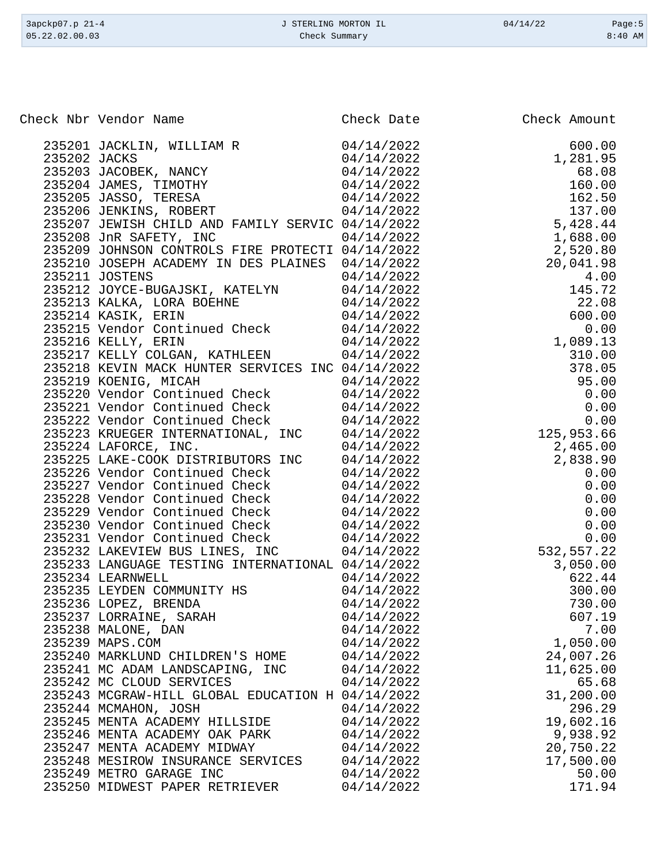| 3apckp07.p 21-4 | J STERLING MORTON IL | 04/14/22 | Page:5    |
|-----------------|----------------------|----------|-----------|
| 05.22.02.00.03  | Check Summary        |          | $8:40$ AM |
|                 |                      |          |           |

| Check Nbr Vendor Name                                                                                                                                                                                                        | Check Date | Check Amount<br>Check Amount<br>600.00<br>1,281.95<br>68.08<br>160.00<br>160.00<br>168.50<br>162.50<br>137.00<br>5,428.44<br>1,688.00<br>20,041.98<br>4.00<br>20,041.98<br>4.00<br>145.72<br>22.08<br>4.00<br>145.72<br>22.00<br>6.00<br>0.00<br>0.00<br>0.00<br>0.00<br>0.00<br>0.00<br>0.00<br>0.00 |
|------------------------------------------------------------------------------------------------------------------------------------------------------------------------------------------------------------------------------|------------|-------------------------------------------------------------------------------------------------------------------------------------------------------------------------------------------------------------------------------------------------------------------------------------------------------|
| 235201 JACKLIN, WILLIAM R 04/14/2022                                                                                                                                                                                         |            |                                                                                                                                                                                                                                                                                                       |
|                                                                                                                                                                                                                              |            |                                                                                                                                                                                                                                                                                                       |
| 235202 JACKS<br>235203 JACOBEK, NANCY<br>235204 JAMES, TIMOTHY<br>235205 JASSO, TERESA<br>235205 JASSO, TERESA<br>235206 JENKINS, ROBERT<br>235206 JENKINS, ROBERT<br>24/14/2022                                             |            |                                                                                                                                                                                                                                                                                                       |
|                                                                                                                                                                                                                              |            |                                                                                                                                                                                                                                                                                                       |
|                                                                                                                                                                                                                              |            |                                                                                                                                                                                                                                                                                                       |
|                                                                                                                                                                                                                              |            |                                                                                                                                                                                                                                                                                                       |
| 235207 JEWISH CHILD AND FAMILY SERVIC 04/14/2022                                                                                                                                                                             |            |                                                                                                                                                                                                                                                                                                       |
| 235208 JnR SAFETY, INC                                                                                                                                                                                                       | 04/14/2022 |                                                                                                                                                                                                                                                                                                       |
| 235209 JOHNSON CONTROLS FIRE PROTECTI 04/14/2022                                                                                                                                                                             |            |                                                                                                                                                                                                                                                                                                       |
| 235210 JOSEPH ACADEMY IN DES PLAINES 04/14/2022                                                                                                                                                                              |            |                                                                                                                                                                                                                                                                                                       |
| 235211 JOSTENS                                                                                                                                                                                                               | 04/14/2022 |                                                                                                                                                                                                                                                                                                       |
|                                                                                                                                                                                                                              |            |                                                                                                                                                                                                                                                                                                       |
|                                                                                                                                                                                                                              |            |                                                                                                                                                                                                                                                                                                       |
|                                                                                                                                                                                                                              |            |                                                                                                                                                                                                                                                                                                       |
| 235211 JOSIENS<br>235212 JOYCE-BUGAJSKI, KATELYN 04/14/2022<br>235213 KALKA, LORA BOEHNE 04/14/2022<br>235214 KASIK, ERIN 04/14/2022<br>235215 Vendor Continued Check 04/14/2022<br>235215 Vendor Continued Check 04/14/2022 |            |                                                                                                                                                                                                                                                                                                       |
| 235216 KELLY, ERIN                                                                                                                                                                                                           | 04/14/2022 |                                                                                                                                                                                                                                                                                                       |
| 235217 KELLY COLGAN, KATHLEEN 04/14/2022                                                                                                                                                                                     |            |                                                                                                                                                                                                                                                                                                       |
| 235218 KEVIN MACK HUNTER SERVICES INC 04/14/2022                                                                                                                                                                             |            |                                                                                                                                                                                                                                                                                                       |
|                                                                                                                                                                                                                              |            |                                                                                                                                                                                                                                                                                                       |
| 235219 KOENIG, MICAH 04/14/2022<br>235220 Vendor Continued Check 04/14/2022                                                                                                                                                  |            |                                                                                                                                                                                                                                                                                                       |
| 235221 Vendor Continued Check 04/14/2022                                                                                                                                                                                     |            |                                                                                                                                                                                                                                                                                                       |
| 235222 Vendor Continued Check 04/14/2022                                                                                                                                                                                     |            |                                                                                                                                                                                                                                                                                                       |
| 235223 KRUEGER INTERNATIONAL, INC 04/14/2022                                                                                                                                                                                 |            |                                                                                                                                                                                                                                                                                                       |
| 235224 LAFORCE, INC.                                                                                                                                                                                                         | 04/14/2022 |                                                                                                                                                                                                                                                                                                       |
| 235225 LAKE-COOK DISTRIBUTORS INC 04/14/2022                                                                                                                                                                                 |            |                                                                                                                                                                                                                                                                                                       |
| 235226 Vendor Continued Check 04/14/2022                                                                                                                                                                                     |            |                                                                                                                                                                                                                                                                                                       |
| 235227 Vendor Continued Check 04/14/2022                                                                                                                                                                                     |            |                                                                                                                                                                                                                                                                                                       |
| 235228 Vendor Continued Check 04/14/2022                                                                                                                                                                                     |            |                                                                                                                                                                                                                                                                                                       |
| 235229 Vendor Continued Check 04/14/2022                                                                                                                                                                                     |            |                                                                                                                                                                                                                                                                                                       |
| 235230 Vendor Continued Check 04/14/2022                                                                                                                                                                                     |            |                                                                                                                                                                                                                                                                                                       |
| 235231 Vendor Continued Check 04/14/2022                                                                                                                                                                                     |            |                                                                                                                                                                                                                                                                                                       |
| 235232 LAKEVIEW BUS LINES, INC                                                                                                                                                                                               | 04/14/2022 |                                                                                                                                                                                                                                                                                                       |
| 235233 LANGUAGE TESTING INTERNATIONAL 04/14/2022                                                                                                                                                                             |            |                                                                                                                                                                                                                                                                                                       |
| 235234 LEARNWELL                                                                                                                                                                                                             | 04/14/2022 |                                                                                                                                                                                                                                                                                                       |
| 235235 LEYDEN COMMUNITY HS                                                                                                                                                                                                   | 04/14/2022 |                                                                                                                                                                                                                                                                                                       |
| 235236 LOPEZ, BRENDA                                                                                                                                                                                                         | 04/14/2022 | 730.00                                                                                                                                                                                                                                                                                                |
| 235237 LORRAINE, SARAH                                                                                                                                                                                                       | 04/14/2022 | 607.19                                                                                                                                                                                                                                                                                                |
| 235238 MALONE, DAN                                                                                                                                                                                                           | 04/14/2022 | 7.00                                                                                                                                                                                                                                                                                                  |
| 235239 MAPS.COM                                                                                                                                                                                                              | 04/14/2022 | 1,050.00                                                                                                                                                                                                                                                                                              |
| 235240 MARKLUND CHILDREN'S HOME                                                                                                                                                                                              | 04/14/2022 | 24,007.26                                                                                                                                                                                                                                                                                             |
| 235241 MC ADAM LANDSCAPING, INC                                                                                                                                                                                              | 04/14/2022 | 11,625.00                                                                                                                                                                                                                                                                                             |
| 235242 MC CLOUD SERVICES                                                                                                                                                                                                     | 04/14/2022 | 65.68                                                                                                                                                                                                                                                                                                 |
| 235243 MCGRAW-HILL GLOBAL EDUCATION H 04/14/2022                                                                                                                                                                             |            | 31,200.00                                                                                                                                                                                                                                                                                             |
| 235244 MCMAHON, JOSH                                                                                                                                                                                                         | 04/14/2022 | 296.29                                                                                                                                                                                                                                                                                                |
| 235245 MENTA ACADEMY HILLSIDE                                                                                                                                                                                                | 04/14/2022 | 19,602.16                                                                                                                                                                                                                                                                                             |
| 235246 MENTA ACADEMY OAK PARK                                                                                                                                                                                                | 04/14/2022 | 9,938.92                                                                                                                                                                                                                                                                                              |
| 235247 MENTA ACADEMY MIDWAY                                                                                                                                                                                                  | 04/14/2022 | 20,750.22                                                                                                                                                                                                                                                                                             |
| 235248 MESIROW INSURANCE SERVICES                                                                                                                                                                                            | 04/14/2022 | 17,500.00                                                                                                                                                                                                                                                                                             |
| 235249 METRO GARAGE INC                                                                                                                                                                                                      | 04/14/2022 | 50.00                                                                                                                                                                                                                                                                                                 |
| 235250 MIDWEST PAPER RETRIEVER                                                                                                                                                                                               | 04/14/2022 | 171.94                                                                                                                                                                                                                                                                                                |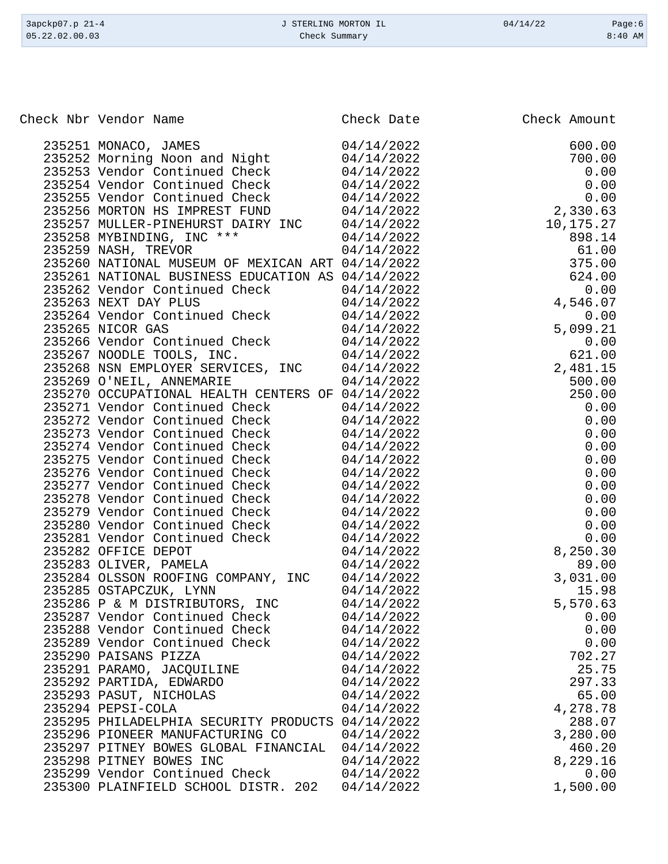| 3apckp07.p 21-4<br>05.22.02.00.03 | J STERLING MORTON IL<br>Check Summary | 04/14/22 | Page:6<br>$8:40$ AM |
|-----------------------------------|---------------------------------------|----------|---------------------|
|                                   |                                       |          |                     |

Check Nbr Vendor Name **Check Date** Check Date Check Amount

|  | 235251 MONACO, JAMES                                                                            | 04/14/2022 | 600.00    |
|--|-------------------------------------------------------------------------------------------------|------------|-----------|
|  | 235252 Morning Noon and Night                                                                   | 04/14/2022 | 700.00    |
|  | 235253 Vendor Continued Check                                                                   | 04/14/2022 | 0.00      |
|  | 235254 Vendor Continued Check                                                                   | 04/14/2022 | 0.00      |
|  | 235255 Vendor Continued Check                                                                   | 04/14/2022 | 0.00      |
|  | 235256 MORTON HS IMPREST FUND                                                                   | 04/14/2022 | 2,330.63  |
|  | 235257 MULLER-PINEHURST DAIRY INC 04/14/2022                                                    |            | 10,175.27 |
|  |                                                                                                 | 04/14/2022 | 898.14    |
|  | 235258 MYBINDING, INC ***<br>235259 NASH, TREVOR                                                | 04/14/2022 | 61.00     |
|  | 235260 NATIONAL MUSEUM OF MEXICAN ART 04/14/2022                                                |            | 375.00    |
|  | 235261 NATIONAL BUSINESS EDUCATION AS 04/14/2022                                                |            | 624.00    |
|  | 235262 Vendor Continued Check                                                                   | 04/14/2022 | 0.00      |
|  | 235263 NEXT DAY PLUS                                                                            | 04/14/2022 | 4,546.07  |
|  | 235264 Vendor Continued Check                                                                   | 04/14/2022 | 0.00      |
|  | 235265 NICOR GAS                                                                                | 04/14/2022 | 5,099.21  |
|  |                                                                                                 | 04/14/2022 | 0.00      |
|  | 235266 Vendor Continued Check<br>235267 NOODLE TOOLS, INC.                                      | 04/14/2022 | 621.00    |
|  |                                                                                                 |            |           |
|  | 235268 NSN EMPLOYER SERVICES, INC 04/14/2022                                                    |            | 2,481.15  |
|  | 235269 O'NEIL, ANNEMARIE                                                                        | 04/14/2022 | 500.00    |
|  | 235270 OCCUPATIONAL HEALTH CENTERS OF 04/14/2022                                                |            | 250.00    |
|  |                                                                                                 | 04/14/2022 | 0.00      |
|  | 235271 Vendor Continued Check<br>235272 Vendor Continued Check<br>235273 Vendor Continued Check | 04/14/2022 | 0.00      |
|  |                                                                                                 | 04/14/2022 | 0.00      |
|  | 235274 Vendor Continued Check                                                                   | 04/14/2022 | 0.00      |
|  | 235275 Vendor Continued Check                                                                   | 04/14/2022 | 0.00      |
|  | 235276 Vendor Continued Check                                                                   | 04/14/2022 | 0.00      |
|  | 235277 Vendor Continued Check                                                                   | 04/14/2022 | 0.00      |
|  | 235278 Vendor Continued Check                                                                   | 04/14/2022 | 0.00      |
|  | 235279 Vendor Continued Check                                                                   | 04/14/2022 | 0.00      |
|  | 235280 Vendor Continued Check                                                                   | 04/14/2022 | 0.00      |
|  | 235281 Vendor Continued Check                                                                   | 04/14/2022 | 0.00      |
|  | 235282 OFFICE DEPOT                                                                             | 04/14/2022 | 8,250.30  |
|  | 235283 OLIVER, PAMELA                                                                           | 04/14/2022 | 89.00     |
|  | 235284 OLSSON ROOFING COMPANY, INC $04/14/2022$                                                 |            | 3,031.00  |
|  | 235285 OSTAPCZUK, LYNN                                                                          | 04/14/2022 | 15.98     |
|  | 235286 P & M DISTRIBUTORS, INC $04/14/2022$<br>235287 Vendor Continued Charles 24/14/2022       |            | 5,570.63  |
|  | 235287 Vendor Continued Check 04/14/2022                                                        |            | 0.00      |
|  | 235288 Vendor Continued Check                                                                   | 04/14/2022 | 0.00      |
|  | 235289 Vendor Continued Check                                                                   | 04/14/2022 | 0.00      |
|  | 235290 PAISANS PIZZA                                                                            | 04/14/2022 | 702.27    |
|  | 235291 PARAMO, JACQUILINE                                                                       | 04/14/2022 | 25.75     |
|  | 235292 PARTIDA, EDWARDO                                                                         | 04/14/2022 | 297.33    |
|  | 235293 PASUT, NICHOLAS                                                                          | 04/14/2022 | 65.00     |
|  | 235294 PEPSI-COLA                                                                               | 04/14/2022 | 4,278.78  |
|  | 235295 PHILADELPHIA SECURITY PRODUCTS 04/14/2022                                                |            | 288.07    |
|  | 235296 PIONEER MANUFACTURING CO                                                                 | 04/14/2022 | 3,280.00  |
|  | 235297 PITNEY BOWES GLOBAL FINANCIAL                                                            | 04/14/2022 | 460.20    |
|  | 235298 PITNEY BOWES INC                                                                         | 04/14/2022 | 8,229.16  |
|  | 235299 Vendor Continued Check                                                                   | 04/14/2022 | 0.00      |
|  | 235300 PLAINFIELD SCHOOL DISTR. 202                                                             | 04/14/2022 | 1,500.00  |
|  |                                                                                                 |            |           |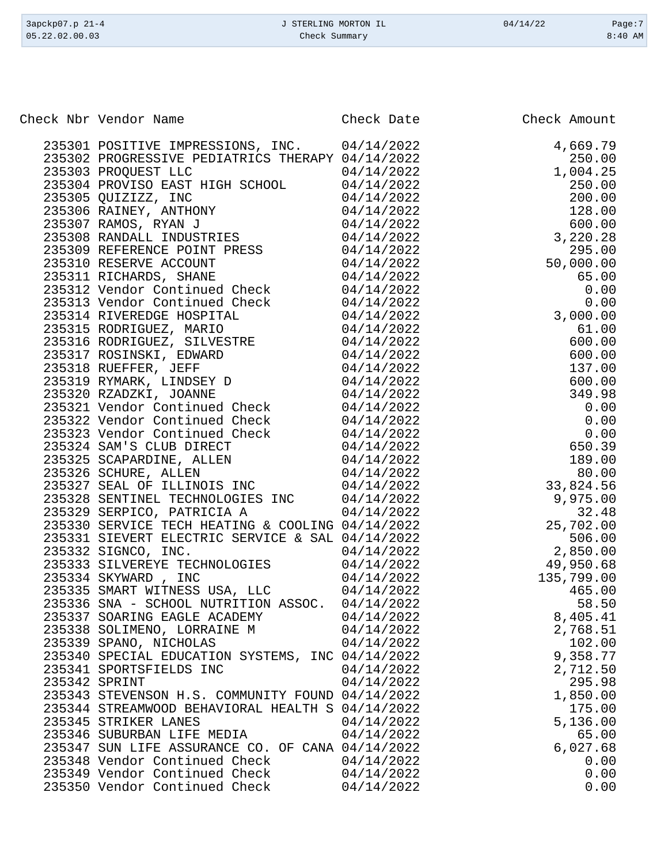| 3apckp07.p 21-4<br>05.22.02.00.03 |                                                  | J STERLING MORTON IL<br>Check Summary |              | Page:7<br>$8:40$ AM |  |
|-----------------------------------|--------------------------------------------------|---------------------------------------|--------------|---------------------|--|
|                                   |                                                  |                                       |              |                     |  |
|                                   | Check Nbr Vendor Name                            | Check Date                            | Check Amount |                     |  |
|                                   | 235301 POSITIVE IMPRESSIONS, INC.                | 04/14/2022                            | 4,669.79     |                     |  |
|                                   | 235302 PROGRESSIVE PEDIATRICS THERAPY 04/14/2022 |                                       |              | 250.00              |  |
|                                   | 235303 PROQUEST LLC                              | 04/14/2022                            | 1,004.25     |                     |  |
|                                   | 235304 PROVISO EAST HIGH SCHOOL                  | 04/14/2022                            |              | 250.00              |  |
|                                   | 235305 QUIZIZZ, INC                              | 04/14/2022                            |              | 200.00              |  |
|                                   | 235306 RAINEY, ANTHONY                           | 04/14/2022                            |              | 128.00              |  |
|                                   | 235307 RAMOS, RYAN J                             | 04/14/2022                            |              | 600.00              |  |
|                                   | 235308 RANDALL INDUSTRIES                        | 04/14/2022                            | 3,220.28     |                     |  |
|                                   | 235309 REFERENCE POINT PRESS                     | 04/14/2022                            |              | 295.00              |  |
|                                   | 235310 RESERVE ACCOUNT                           | 04/14/2022                            | 50,000.00    |                     |  |
|                                   | 235311 RICHARDS, SHANE                           | 04/14/2022                            |              | 65.00               |  |
|                                   | 235312 Vendor Continued Check                    | 04/14/2022                            |              | 0.00                |  |
|                                   | 235313 Vendor Continued Check                    | 04/14/2022                            |              | 0.00                |  |
|                                   | 235314 RIVEREDGE HOSPITAL                        | 04/14/2022                            | 3,000.00     |                     |  |
|                                   | 235315 RODRIGUEZ, MARIO                          | 04/14/2022                            |              | 61.00               |  |
|                                   | 235316 RODRIGUEZ, SILVESTRE                      | 04/14/2022                            |              | 600.00              |  |
|                                   | 235317 ROSINSKI, EDWARD                          | 04/14/2022                            |              | 600.00              |  |
|                                   | 235318 RUEFFER, JEFF                             | 04/14/2022                            |              | 137.00              |  |
|                                   | 235319 RYMARK, LINDSEY D                         | 04/14/2022                            |              | 600.00              |  |
|                                   | 235320 RZADZKI, JOANNE                           | 04/14/2022                            |              | 349.98              |  |
|                                   | 235321 Vendor Continued Check                    | 04/14/2022                            |              | 0.00                |  |
|                                   | 235322 Vendor Continued Check                    | 04/14/2022                            |              | 0.00                |  |
|                                   | 235323 Vendor Continued Check                    | 04/14/2022                            |              | 0.00                |  |
|                                   | 235324 SAM'S CLUB DIRECT                         | 04/14/2022                            |              | 650.39              |  |
|                                   | 235325 SCAPARDINE, ALLEN                         | 04/14/2022                            |              | 189.00              |  |
|                                   | 235326 SCHURE, ALLEN                             | 04/14/2022                            |              | 80.00               |  |
|                                   | 235327 SEAL OF ILLINOIS INC                      | 04/14/2022                            | 33,824.56    |                     |  |
|                                   | 235328 SENTINEL TECHNOLOGIES INC                 | 04/14/2022                            | 9,975.00     |                     |  |
|                                   | 235329 SERPICO, PATRICIA A                       | 04/14/2022                            |              | 32.48               |  |
|                                   | 235330 SERVICE TECH HEATING & COOLING 04/14/2022 |                                       | 25,702.00    |                     |  |
|                                   | 235331 SIEVERT ELECTRIC SERVICE & SAL 04/14/2022 |                                       |              | 506.00              |  |
|                                   | 235332 SIGNCO, INC.                              | 04/14/2022                            | 2,850.00     |                     |  |
|                                   | 235333 SILVEREYE TECHNOLOGIES                    | 04/14/2022                            | 49,950.68    |                     |  |
|                                   | 235334 SKYWARD, INC                              | 04/14/2022                            | 135,799.00   |                     |  |
|                                   | 235335 SMART WITNESS USA, LLC                    | 04/14/2022                            |              | 465.00              |  |
|                                   | 235336 SNA - SCHOOL NUTRITION ASSOC. 04/14/2022  |                                       |              | 58.50               |  |
|                                   | 235337 SOARING EAGLE ACADEMY                     | 04/14/2022                            | 8,405.41     |                     |  |
|                                   | 235338 SOLIMENO, LORRAINE M                      | 04/14/2022                            | 2,768.51     |                     |  |
|                                   | 235339 SPANO, NICHOLAS                           | 04/14/2022                            |              | 102.00              |  |
|                                   | 235340 SPECIAL EDUCATION SYSTEMS, INC 04/14/2022 |                                       | 9,358.77     |                     |  |
|                                   | 235341 SPORTSFIELDS INC                          | 04/14/2022                            | 2,712.50     |                     |  |
|                                   | 235342 SPRINT                                    | 04/14/2022                            |              | 295.98              |  |
|                                   | 235343 STEVENSON H.S. COMMUNITY FOUND 04/14/2022 |                                       | 1,850.00     |                     |  |
|                                   | 235344 STREAMWOOD BEHAVIORAL HEALTH S 04/14/2022 |                                       |              | 175.00              |  |
|                                   | 235345 STRIKER LANES                             | 04/14/2022                            | 5,136.00     |                     |  |

235346 SUBURBAN LIFE MEDIA  $04/14/2022$  65.00<br>235347 SUN LIFE ASSURANCE CO. OF CANA  $04/14/2022$  6,027.68

235348 Vendor Continued Check  $04/14/2022$  0.00<br>235349 Vendor Continued Check 04/14/2022 0.00 235349 Vendor Continued Check  $04/14/2022$  0.00<br>235350 Vendor Continued Check 04/14/2022 0.00

235347 SUN LIFE ASSURANCE CO. OF CANA 04/14/2022<br>235348 Vendor Continued Check 04/14/2022

235350 Vendor Continued Check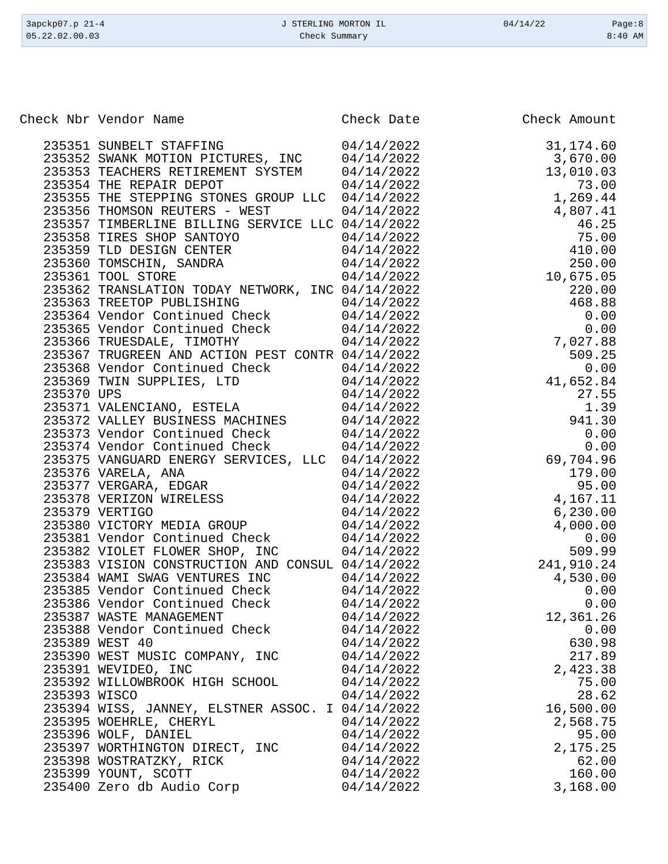| 3apckp07.p 21-4<br>05.22.02.00.03 | J STERLING MORTON IL<br>Check Summary                                                                                                                                                                                                                                                                                                                                                                                  |                                                                                                                                          | 04/14/22                                                                                                                         | Page:8<br>$8:40$ AM |
|-----------------------------------|------------------------------------------------------------------------------------------------------------------------------------------------------------------------------------------------------------------------------------------------------------------------------------------------------------------------------------------------------------------------------------------------------------------------|------------------------------------------------------------------------------------------------------------------------------------------|----------------------------------------------------------------------------------------------------------------------------------|---------------------|
|                                   |                                                                                                                                                                                                                                                                                                                                                                                                                        |                                                                                                                                          |                                                                                                                                  |                     |
|                                   |                                                                                                                                                                                                                                                                                                                                                                                                                        |                                                                                                                                          |                                                                                                                                  |                     |
|                                   | Check Nbr Vendor Name                                                                                                                                                                                                                                                                                                                                                                                                  | Check Date                                                                                                                               | Check Amount                                                                                                                     |                     |
|                                   | 235351 SUNBELT STAFFING<br>235352 SWANK MOTION PICTURES, INC<br>235353 TEACHERS RETIREMENT SYSTEM<br>235354 THE REPAIR DEPOT<br>235355 THE STEPPING STONES GROUP LLC<br>235356 THOMSON REUTERS - WEST<br>235357 TIMBERLINE BILLING SERVICE LLC 04/14/2022<br>235358 TIRES SHOP SANTOYO<br>235359 TLD DESIGN CENTER<br>235360 TOMSCHIN, SANDRA<br>235361 TOOL STORE<br>235362 TRANSLATION TODAY NETWORK, INC 04/14/2022 | 04/14/2022<br>04/14/2022<br>04/14/2022<br>04/14/2022<br>04/14/2022<br>04/14/2022<br>04/14/2022<br>04/14/2022<br>04/14/2022<br>04/14/2022 | 31,174.60<br>3,670.00<br>13,010.03<br>73.00<br>1,269.44<br>4,807.41<br>46.25<br>75.00<br>410.00<br>250.00<br>10,675.05<br>220.00 |                     |
|                                   | 235363 TREETOP PUBLISHING<br>235364 Vendor Continued Check<br>235365 Vendor Continued Check                                                                                                                                                                                                                                                                                                                            | 04/14/2022<br>04/14/2022<br>04/14/2022                                                                                                   | 468.88                                                                                                                           | 0.00<br>0.00        |
|                                   | 235366 TRUESDALE, TIMOTHY                                                                                                                                                                                                                                                                                                                                                                                              | 04/14/2022                                                                                                                               | 7,027.88<br>$\blacksquare$ $\land$ $\land$ $\blacksquare$                                                                        |                     |

|              | 233303 IREIUP PUBLISHING (1971-1/2022)                                                                                       |            |            | 100.00    |
|--------------|------------------------------------------------------------------------------------------------------------------------------|------------|------------|-----------|
|              |                                                                                                                              |            |            | 0.00      |
|              |                                                                                                                              |            |            | 0.00      |
|              | 235364 Vendor Continued Check 04/14/2022<br>235365 Vendor Continued Check 04/14/2022<br>235366 TRUESDALE, TIMOTHY 04/14/2022 |            | 7,027.88   |           |
|              | 235367 TRUGREEN AND ACTION PEST CONTR 04/14/2022                                                                             |            |            | 509.25    |
|              |                                                                                                                              |            |            | 0.00      |
|              | 235368 Vendor Continued Check 04/14/2022<br>235369 TWIN SUPPLIES, LTD 04/14/2022                                             |            | 41,652.84  |           |
| 235370 UPS   |                                                                                                                              | 04/14/2022 |            | 27.55     |
|              | 235371 VALENCIANO, ESTELA<br>235372 VALLEY BUSINESS MACHINES                                                                 | 04/14/2022 |            | 1.39      |
|              |                                                                                                                              | 04/14/2022 |            | 941.30    |
|              | 235373 Vendor Continued Check                                                                                                | 04/14/2022 |            | 0.00      |
|              | 235374 Vendor Continued Check 04/14/2022                                                                                     |            |            | 0.00      |
|              | 235375 VANGUARD ENERGY SERVICES, LLC 04/14/2022                                                                              |            | 69,704.96  |           |
|              | 235376 VARELA, ANA                                                                                                           | 04/14/2022 |            | 179.00    |
|              | 235377 VERGARA, EDGAR                                                                                                        | 04/14/2022 |            | 95.00     |
|              | 235378 VERIZON WIRELESS                                                                                                      | 04/14/2022 | 4,167.11   |           |
|              | 235379 VERTIGO                                                                                                               | 04/14/2022 |            | 6, 230.00 |
|              | 235380 VICTORY MEDIA GROUP                                                                                                   | 04/14/2022 |            | 4,000.00  |
|              | 235381 Vendor Continued Check                                                                                                | 04/14/2022 |            | 0.00      |
|              | 235382 VIOLET FLOWER SHOP, INC                                                                                               | 04/14/2022 |            | 509.99    |
|              | 235383 VISION CONSTRUCTION AND CONSUL 04/14/2022                                                                             |            | 241,910.24 |           |
|              | 235384 WAMI SWAG VENTURES INC                                                                                                | 04/14/2022 |            | 4,530.00  |
|              | 235385 Vendor Continued Check $04/14/2022$                                                                                   |            |            | 0.00      |
|              | 2333386 Vendor Continued Check<br>235386 Vendor Continued Check<br>235387 WASTE MANAGEMENT<br>235388 Vendor Continued Check  | 04/14/2022 |            | 0.00      |
|              |                                                                                                                              | 04/14/2022 | 12,361.26  |           |
|              |                                                                                                                              | 04/14/2022 |            | 0.00      |
|              | 235389 WEST 40                                                                                                               | 04/14/2022 |            | 630.98    |
|              | 235390 WEST MUSIC COMPANY, INC                                                                                               | 04/14/2022 |            | 217.89    |
|              | 235391 WEVIDEO, INC                                                                                                          | 04/14/2022 |            | 2,423.38  |
|              | 235392 WILLOWBROOK HIGH SCHOOL                                                                                               | 04/14/2022 |            | 75.00     |
| 235393 WISCO |                                                                                                                              | 04/14/2022 |            | 28.62     |
|              | 235394 WISS, JANNEY, ELSTNER ASSOC. I 04/14/2022                                                                             |            | 16,500.00  |           |
|              | 235395 WOEHRLE, CHERYL                                                                                                       | 04/14/2022 |            | 2,568.75  |
|              |                                                                                                                              | 04/14/2022 |            | 95.00     |
|              |                                                                                                                              | 04/14/2022 |            | 2,175.25  |
|              |                                                                                                                              | 04/14/2022 |            | 62.00     |
|              | 235396 WOLF, DANIEL<br>235397 WORTHINGTON DIRECT, INC<br>235398 WOSTRATZKY, RICK                                             | 04/14/2022 |            | 160.00    |
|              | 233339 YOUNT, SCOTT<br>235399 YOUNT, SCOTT<br>235400 Zero db Audio Corp                                                      | 04/14/2022 |            | 3,168.00  |
|              |                                                                                                                              |            |            |           |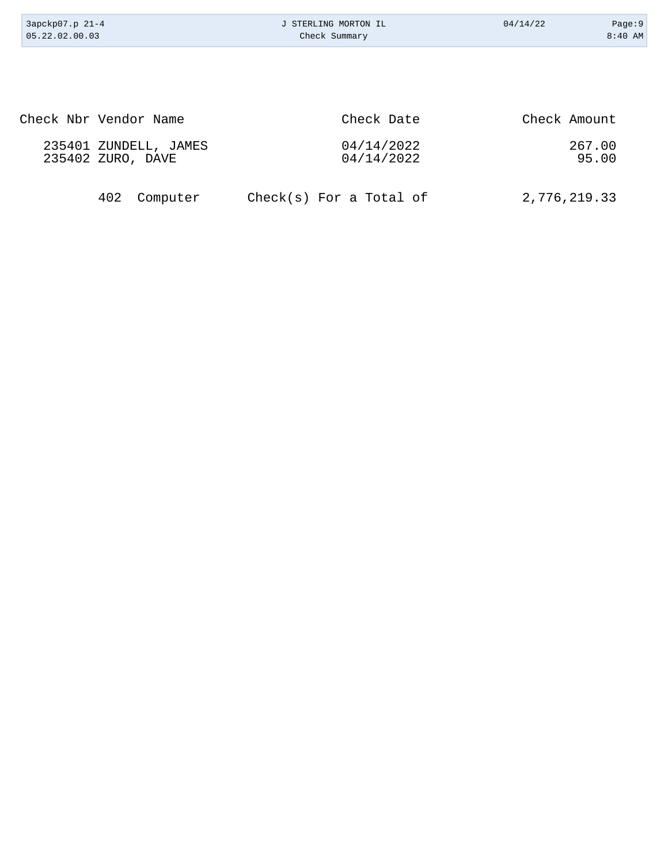| 3apckp07.p 21-4<br>05.22.02.00.03 |                                            | J STERLING MORTON IL<br>Check Summary | 04/14/22     | Page:9<br>$8:40$ AM |
|-----------------------------------|--------------------------------------------|---------------------------------------|--------------|---------------------|
|                                   |                                            |                                       |              |                     |
|                                   |                                            |                                       |              |                     |
|                                   | Check Nbr Vendor Name                      | Check Date                            | Check Amount |                     |
|                                   | 235401 ZUNDELL, JAMES<br>235402 ZURO, DAVE | 04/14/2022<br>04/14/2022              |              | 267.00<br>95.00     |
|                                   | 402<br>Computer                            | $Check(s)$ For a Total of             |              | 2,776,219.33        |